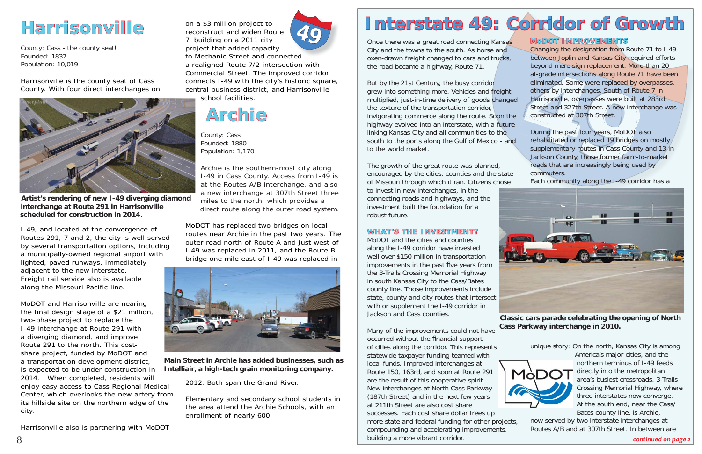Once there was a great road connecting Kansas City and the towns to the south. As horse and oxen-drawn freight changed to cars and trucks, the road became a highway, Route 71.

But by the 21st Century, the busy corridor grew into something more. Vehicles and freight multiplied, just-in-time delivery of goods changed the texture of the transportation corridor, invigorating commerce along the route. Soon the highway evolved into an interstate, with a future linking Kansas City and all communities to the south to the ports along the Gulf of Mexico - and to the world market.

The growth of the great route was planned, encouraged by the cities, counties and the state of Missouri through which it ran. Citizens chose

to invest in new interchanges, in the connecting roads and highways, and the investment built the foundation for a robust future.

#### **WHAT'S THE INVESTMENT? HAT'S THE INVESTMENT?**

MoDOT and the cities and counties along the I-49 corridor have invested well over \$150 million in transportation improvements in the past five years from the 3-Trails Crossing Memorial Highway in south Kansas City to the Cass/Bates county line. Those improvements include state, county and city routes that intersect with or supplement the I-49 corridor in Jackson and Cass counties.



at-grade intersections along Route 71 nave eliminated. Some were replaced by overpass<br>others by interchanges. South of Route 7 in<br>Harrisonville, overpasses were built at 283rc<br>Street and 327th Street. A new interchange<br>con Changing the designation from Route 71 to I-49 between Joplin and Kansas City required efforts beyond mere sign replacement. More than 20 at-grade intersections along Route 71 have been eliminated. Some were replaced by overpasses, others by interchanges. South of Route 7 in Harrisonville, overpasses were built at 283rd Street and 327th Street. A new interchange was constructed at 307th Street.

#### **MoDOT IMPROVEMENTS o DOT IMPROVEMENTS**

Many of the improvements could not have occurred without the financial support of cities along the corridor. This represents America's major cities, and the statewide taxpayer funding teamed with northern terminus of I-49 feeds local funds. Improved interchanges at directly into the metropolitan Route 150, 163rd, and soon at Route 291 MòDO area's busiest crossroads, 3-Trails are the result of this cooperative spirit. New interchanges at North Cass Parkway three interstates now converge. (187th Street) and in the next few years At the south end, near the Cass/ at 211th Street are also cost share Bates county line, is Archie, successes. Each cost share dollar frees up now served by two interstate interchanges at more state and federal funding for other projects, Routes A/B and at 307th Street. In between are compounding and accelerating improvements, building a more vibrant corridor. *continued on page 2*

During the past four years, MoDOT also rehabilitated or replaced 19 bridges on mostly supplementary routes in Cass County and 13 in Jackson County, those former farm-to-market roads that are increasingly being used by commuters.

Each community along the I-49 corridor has a

unique story: On the north, Kansas City is among



Crossing Memorial Highway, where

**Classic cars parade celebrating the opening of North Cass Parkway interchange in 2010.** 



# **Harrisonville arrisonville**

County: Cass - the county seat! Founded: 1837Population: 10,019

Harrisonville is the county seat of Cass County. With four direct interchanges on

I-49, and located at the convergence of Routes 291, 7 and 2, the city is well served by several transportation options, including a municipally-owned regional airport with lighted, paved runways, immediately adjacent to the new interstate. Freight rail service also is available along the Missouri Pacific line.

MoDOT and Harrisonville are nearing the final design stage of a \$21 million, two-phase project to replace the I-49 interchange at Route 291 with a diverging diamond, and improve Route 291 to the north. This costshare project, funded by MoDOT and a transportation development district, is expected to be under construction in 2014. When completed, residents will enjoy easy access to Cass Regional Medical Center, which overlooks the new artery from its hillside site on the northern edge of the city.

Harrisonville also is partnering with MoDOT

a realigned Route 7/2 intersection with Commercial Street. The improved corridor connects I-49 with the city's historic square, central business district, and Harrisonville school facilities.

## **Archie**

County: Cass Founded: 1880Population: 1,170

Archie is the southern-most city along I-49 in Cass County. Access from I-49 is at the Routes A/B interchange, and also a new interchange at 307th Street three miles to the north, which provides a direct route along the outer road system.

MoDOT has replaced two bridges on local routes near Archie in the past two years. The outer road north of Route A and just west of I-49 was replaced in 2011, and the Route B bridge one mile east of I-49 was replaced in



2012. Both span the Grand River.

Elementary and secondary school students in the area attend the Archie Schools, with an enrollment of nearly 600.

# Interstate 49: Corridor of Growth



**Artist's rendering of new I-49 diverging diamond interchange at Route 291 in Harrisonville scheduled for construction in 2014.** 

**Main Street in Archie has added businesses, such as Intelliair, a high-tech grain monitoring company.**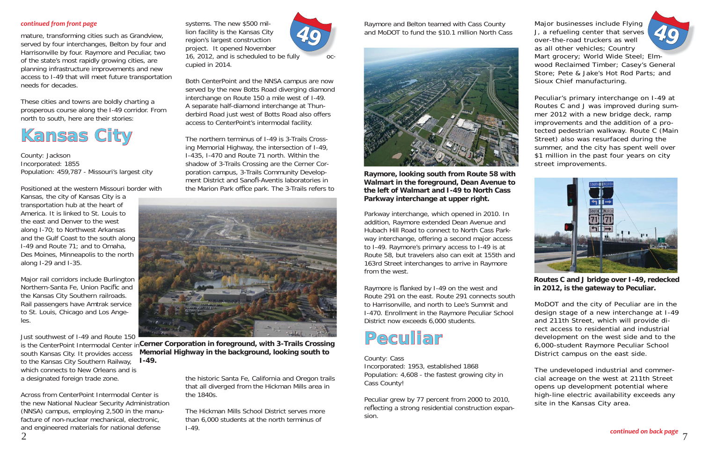mature, transforming cities such as Grandview, served by four interchanges, Belton by four and Harrisonville by four. Raymore and Peculiar, two of the state's most rapidly growing cities, are planning infrastructure improvements and new access to I-49 that will meet future transportation needs for decades.

These cities and towns are boldly charting a prosperous course along the I-49 corridor. From north to south, here are their stories:

### **Kansas City <sup>a</sup> n sa s**

County: Jackson Incorporated: 1855 Population: 459,787 - Missouri's largest city

Positioned at the western Missouri border with

Kansas, the city of Kansas City is a transportation hub at the heart of America. It is linked to St. Louis to the east and Denver to the west along I-70; to Northwest Arkansas and the Gulf Coast to the south along I-49 and Route 71; and to Omaha, Des Moines, Minneapolis to the north along I-29 and I-35.

The northern terminus of I-49 is 3-Trails Crossing Memorial Highway, the intersection of I-49, I-435, I-470 and Route 71 north. Within the shadow of 3-Trails Crossing are the Cerner Corporation campus, 3-Trails Community Development District and Sanofi-Aventis laboratories in the Marion Park office park. The 3-Trails refers to



Major rail corridors include Burlington Northern-Santa Fe, Union Pacific and the Kansas City Southern railroads. Rail passengers have Amtrak service to St. Louis, Chicago and Los Angeles.

Just southwest of I-49 and Route 150 south Kansas City. It provides access to the Kansas City Southern Railway, which connects to New Orleans and is a designated foreign trade zone.

> The Hickman Mills School District serves more than 6,000 students at the north terminus of  $I-49.$

is the CenterPoint Intermodal Center in**Cerner Corporation in foreground, with 3-Trails Crossing Memorial Highway in the background, looking south to I-49.**

Across from CenterPoint Intermodal Center is the new National Nuclear Security Administration (NNSA) campus, employing 2,500 in the manufacture of non-nuclear mechanical, electronic, and engineered materials for national defense

Major businesses include Flying<br>J, a refueling center that serves<br>over-the-road truckers as well<br>as all other vehicles; Country Mart grocery; World Wide Steel; Elmwood Reclaimed Timber; Casey's General Store; Pete & Jake's Hot Rod Parts; and Sioux Chief manufacturing.

systems. The new \$500 million facility is the Kansas City region's largest construction project. It opened November 16, 2012, and is scheduled to be fully occupied in 2014.

Both CenterPoint and the NNSA campus are now served by the new Botts Road diverging diamond interchange on Route 150 a mile west of I-49. A separate half-diamond interchange at Thunderbird Road just west of Botts Road also offers access to CenterPoint's intermodal facility.

> Raymore is flanked by I-49 on the west and Route 291 on the east. Route 291 connects south to Harrisonville, and north to Lee's Summit and I-470. Enrollment in the Raymore Peculiar School District now exceeds 6,000 students.

the historic Santa Fe, California and Oregon trails that all diverged from the Hickman Mills area in the 1840s.



#### *continued from front page*

7

Peculiar's primary interchange on I-49 at Routes C and J was improved during summer 2012 with a new bridge deck, ramp improvements and the addition of a protected pedestrian walkway. Route C (Main Street) also was resurfaced during the summer, and the city has spent well over \$1 million in the past four years on city street improvements.

MoDOT and the city of Peculiar are in the design stage of a new interchange at I-49 and 211th Street, which will provide direct access to residential and industrial development on the west side and to the 6,000-student Raymore Peculiar School District campus on the east side.

The undeveloped industrial and commercial acreage on the west at 211th Street opens up development potential where high-line electric availability exceeds any site in the Kansas City area.

Raymore and Belton teamed with Cass County and MoDOT to fund the \$10.1 million North Cass

Parkway interchange, which opened in 2010. In addition, Raymore extended Dean Avenue and Hubach Hill Road to connect to North Cass Parkway interchange, offering a second major access to I-49. Raymore's primary access to I-49 is at Route 58, but travelers also can exit at 155th and 163rd Street interchanges to arrive in Raymore from the west.

### **Peculiar eculia r**

County: Cass Incorporated: 1953, established 1868 Population: 4,608 - the fastest growing city in Cass County!

Peculiar grew by 77 percent from 2000 to 2010, reflecting a strong residential construction expansion.



**Raymore, looking south from Route 58 with Walmart in the foreground, Dean Avenue to the left of Walmart and I-49 to North Cass Parkway interchange at upper right.** 



**Routes C and J bridge over I-49, redecked in 2012, is the gateway to Peculiar.**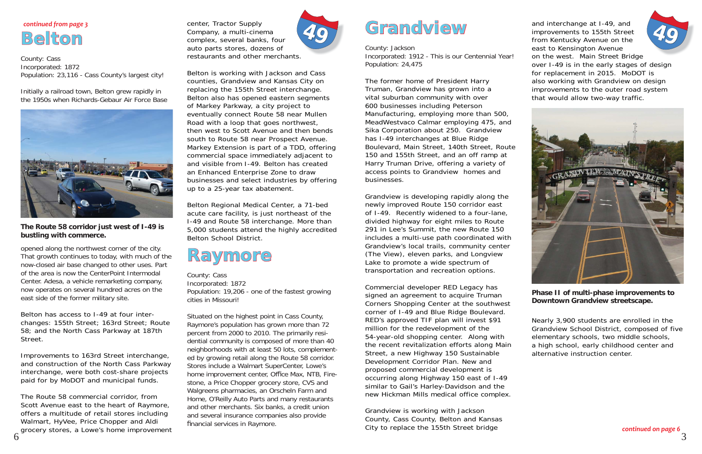County: Cass Incorporated: 1872 Population: 23,116 - Cass County's largest city!

Initially a railroad town, Belton grew rapidly in the 1950s when Richards-Gebaur Air Force Base



opened along the northwest corner of the city. That growth continues to today, with much of the now-closed air base changed to other uses. Part of the area is now the CenterPoint Intermodal Center. Adesa, a vehicle remarketing company, now operates on several hundred acres on the east side of the former military site.

Belton has access to I-49 at four interchanges: 155th Street; 163rd Street; Route 58; and the North Cass Parkway at 187th Street.

Improvements to 163rd Street interchange, and construction of the North Cass Parkway interchange, were both cost-share projects paid for by MoDOT and municipal funds.

The Route 58 commercial corridor, from Scott Avenue east to the heart of Raymore, offers a multitude of retail stores including Walmart, HyVee, Price Chopper and Aldi grocery stores, a Lowe's home improvement Situated on the highest point in Cass County, Raymore's population has grown more than 72 percent from 2000 to 2010. The primarily residential community is composed of more than 40 neighborhoods with at least 50 lots, complemented by growing retail along the Route 58 corridor. Stores include a Walmart SuperCenter, Lowe's home improvement center, Office Max, NTB, Firestone, a Price Chopper grocery store, CVS and Walgreens pharmacies, an Orscheln Farm and Home, O'Reilly Auto Parts and many restaurants and other merchants. Six banks, a credit union and several insurance companies also provide financial services in Raymore.

center, Tractor Supply Company, a multi-cinema complex, several banks, four auto parts stores, dozens of restaurants and other merchants.

Belton is working with Jackson and Cass counties, Grandview and Kansas City on replacing the 155th Street interchange. Belton also has opened eastern segments of Markey Parkway, a city project to eventually connect Route 58 near Mullen Road with a loop that goes northwest, then west to Scott Avenue and then bends south to Route 58 near Prospect Avenue. Markey Extension is part of a TDD, offering commercial space immediately adjacent to and visible from I-49. Belton has created an Enhanced Enterprise Zone to draw businesses and select industries by offering up to a 25-year tax abatement.

Belton Regional Medical Center, a 71-bed acute care facility, is just northeast of the I-49 and Route 58 interchange. More than 5,000 students attend the highly accredited Belton School District.

### **Raymore**

County: Cass Incorporated: 1872 Population: 19,206 - one of the fastest growing cities in Missouri!

### **Belton***continued from page 3*

# **Grandview ra ndview**

County: Jackson Incorporated: 1912 - This is our Centennial Year! Population: 24,475

The former home of President Harry Truman, Grandview has grown into a vital suburban community with over 600 businesses including Peterson Manufacturing, employing more than 500, MeadWestvaco Calmar employing 475, and Sika Corporation about 250. Grandview has I-49 interchanges at Blue Ridge Boulevard, Main Street, 140th Street, Route 150 and 155th Street, and an off ramp at Harry Truman Drive, offering a variety of access points to Grandview homes and businesses.

Grandview is developing rapidly along the newly improved Route 150 corridor east of I-49. Recently widened to a four-lane, divided highway for eight miles to Route 291 in Lee's Summit, the new Route 150 includes a multi-use path coordinated with Grandview's local trails, community center (The View), eleven parks, and Longview Lake to promote a wide spectrum of transportation and recreation options.

Commercial developer RED Legacy has signed an agreement to acquire Truman Corners Shopping Center at the southwest corner of I-49 and Blue Ridge Boulevard. RED's approved TIF plan will invest \$91 million for the redevelopment of the 54-year-old shopping center. Along with the recent revitalization efforts along Main Street, a new Highway 150 Sustainable Development Corridor Plan. New and proposed commercial development is occurring along Highway 150 east of I-49 similar to Gail's Harley-Davidson and the new Hickman Mills medical office complex.

Grandview is working with Jackson County, Cass County, Belton and Kansas City to replace the 155th Street bridge

and interchange at I-49, and improvements to 155th Street from Kentucky Avenue on the east to Kensington Avenue on the west. Main Street Bridge over I-49 is in the early stages of design for replacement in 2015. MoDOT is also working with Grandview on design improvements to the outer road system that would allow two-way traffic. **49**



Nearly 3,900 students are enrolled in the Grandview School District, composed of five elementary schools, two middle schools, a high school, early childhood center and alternative instruction center.



#### **Phase II of multi-phase improvements to Downtown Grandview streetscape.**

**The Route 58 corridor just west of I-49 is bustling with commerce.**